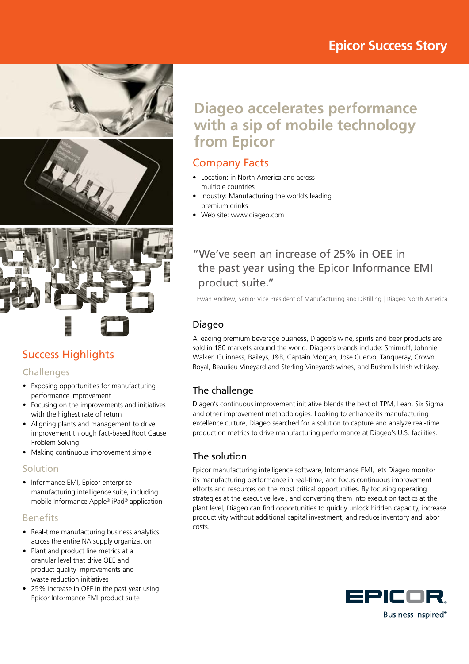# **Epicor Success Story**







# Success Highlights

## **Challenges**

- Exposing opportunities for manufacturing performance improvement
- Focusing on the improvements and initiatives with the highest rate of return
- Aligning plants and management to drive improvement through fact-based Root Cause Problem Solving
- Making continuous improvement simple

## Solution

• Informance EMI, Epicor enterprise manufacturing intelligence suite, including mobile Informance Apple® iPad® application

## Benefits

- Real-time manufacturing business analytics across the entire NA supply organization
- Plant and product line metrics at a granular level that drive OEE and product quality improvements and waste reduction initiatives
- 25% increase in OEE in the past year using Epicor Informance EMI product suite

# **Diageo accelerates performance with a sip of mobile technology from Epicor**

## Company Facts

- Location: in North America and across multiple countries
- Industry: Manufacturing the world's leading premium drinks
- Web site: www.diageo.com

## "We've seen an increase of 25% in OEE in the past year using the Epicor Informance EMI product suite."

Ewan Andrew, Senior Vice President of Manufacturing and Distilling | Diageo North America

## Diageo

A leading premium beverage business, Diageo's wine, spirits and beer products are sold in 180 markets around the world. Diageo's brands include: Smirnoff, Johnnie Walker, Guinness, Baileys, J&B, Captain Morgan, Jose Cuervo, Tanqueray, Crown Royal, Beaulieu Vineyard and Sterling Vineyards wines, and Bushmills Irish whiskey.

## The challenge

Diageo's continuous improvement initiative blends the best of TPM, Lean, Six Sigma and other improvement methodologies. Looking to enhance its manufacturing excellence culture, Diageo searched for a solution to capture and analyze real-time production metrics to drive manufacturing performance at Diageo's U.S. facilities.

## The solution

Epicor manufacturing intelligence software, Informance EMI, lets Diageo monitor its manufacturing performance in real-time, and focus continuous improvement efforts and resources on the most critical opportunities. By focusing operating strategies at the executive level, and converting them into execution tactics at the plant level, Diageo can find opportunities to quickly unlock hidden capacity, increase productivity without additional capital investment, and reduce inventory and labor costs.

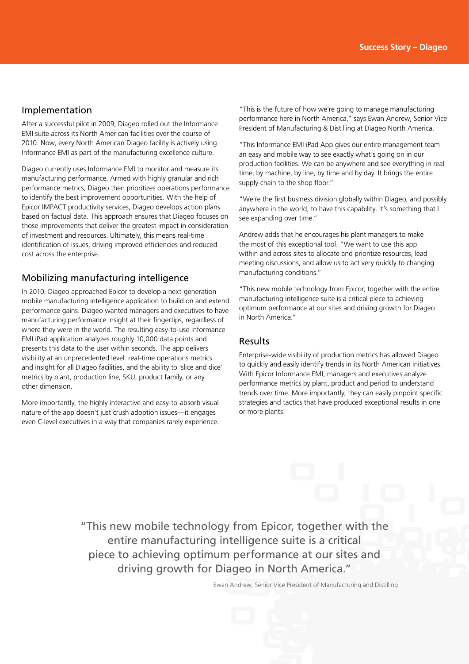#### Implementation

After a successful pilot in 2009, Diageo rolled out the Informance EMI suite across its North American facilities over the course of 2010. Now, every North American Diageo facility is actively using Informance EMI as part of the manufacturing excellence culture.

Diageo currently uses Informance EMI to monitor and measure its manufacturing performance. Armed with highly granular and rich performance metrics, Diageo then prioritizes operations performance to identify the best improvement opportunities. With the help of Epicor IMPACT productivity services, Diageo develops action plans based on factual data. This approach ensures that Diageo focuses on those improvements that deliver the greatest impact in consideration of investment and resources. Ultimately, this means real-time identification of issues, driving improved efficiencies and reduced cost across the enterprise.

## Mobilizing manufacturing intelligence

In 2010, Diageo approached Epicor to develop a next-generation mobile manufacturing intelligence application to build on and extend performance gains. Diageo wanted managers and executives to have manufacturing performance insight at their fingertips, regardless of where they were in the world. The resulting easy-to-use Informance EMI iPad application analyzes roughly 10,000 data points and presents this data to the user within seconds. The app delivers visibility at an unprecedented level: real-time operations metrics and insight for all Diageo facilities, and the ability to 'slice and dice' metrics by plant, production line, SKU, product family, or any other dimension.

More importantly, the highly interactive and easy-to-absorb visual nature of the app doesn't just crush adoption issues—it engages even C-level executives in a way that companies rarely experience. "This is the future of how we're going to manage manufacturing performance here in North America," says Ewan Andrew, Senior Vice President of Manufacturing & Distilling at Diageo North America.

"This Informance EMI iPad App gives our entire management team an easy and mobile way to see exactly what's going on in our production facilities. We can be anywhere and see everything in real time, by machine, by line, by time and by day. It brings the entire supply chain to the shop floor."

"We're the first business division globally within Diageo, and possibly anywhere in the world, to have this capability. It's something that I see expanding over time."

Andrew adds that he encourages his plant managers to make the most of this exceptional tool. "We want to use this app within and across sites to allocate and prioritize resources, lead meeting discussions, and allow us to act very quickly to changing manufacturing conditions."

"This new mobile technology from Epicor, together with the entire manufacturing intelligence suite is a critical piece to achieving optimum performance at our sites and driving growth for Diageo in North America."

## Results

Enterprise-wide visibility of production metrics has allowed Diageo to quickly and easily identify trends in its North American initiatives. With Epicor Informance EMI, managers and executives analyze performance metrics by plant, product and period to understand trends over time. More importantly, they can easily pinpoint specific strategies and tactics that have produced exceptional results in one or more plants.

"This new mobile technology from Epicor, together with the entire manufacturing intelligence suite is a critical piece to achieving optimum performance at our sites and driving growth for Diageo in North America."

Ewan Andrew, Senior Vice President of Manufacturing and Distilling